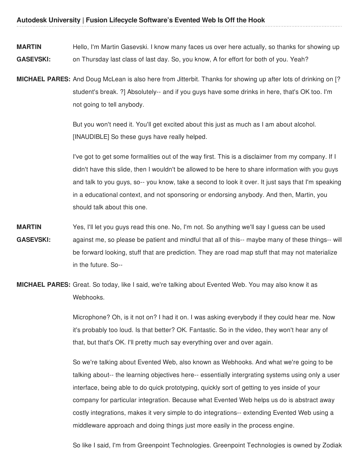**MARTIN GASEVSKI:** Hello, I'm Martin Gasevski. I know many faces us over here actually, so thanks for showing up on Thursday last class of last day. So, you know, A for effort for both of you. Yeah?

**MICHAEL PARES:** And Doug McLean is also here from Jitterbit. Thanks for showing up after lots of drinking on [? student's break. ?] Absolutely-- and if you guys have some drinks in here, that's OK too. I'm not going to tell anybody.

> But you won't need it. You'll get excited about this just as much as I am about alcohol. [INAUDIBLE] So these guys have really helped.

I've got to get some formalities out of the way first. This is a disclaimer from my company. If I didn't have this slide, then I wouldn't be allowed to be here to share information with you guys and talk to you guys, so-- you know, take a second to look it over. It just says that I'm speaking in a educational context, and not sponsoring or endorsing anybody. And then, Martin, you should talk about this one.

- **MARTIN GASEVSKI:** Yes, I'll let you guys read this one. No, I'm not. So anything we'll say I guess can be used against me, so please be patient and mindful that all of this-- maybe many of these things-- will be forward looking, stuff that are prediction. They are road map stuff that may not materialize in the future. So--
- **MICHAEL PARES:** Great. So today, like I said, we're talking about Evented Web. You may also know it as Webhooks.

Microphone? Oh, is it not on? I had it on. I was asking everybody if they could hear me. Now it's probably too loud. Is that better? OK. Fantastic. So in the video, they won't hear any of that, but that's OK. I'll pretty much say everything over and over again.

So we're talking about Evented Web, also known as Webhooks. And what we're going to be talking about-- the learning objectives here-- essentially intergrating systems using only a user interface, being able to do quick prototyping, quickly sort of getting to yes inside of your company for particular integration. Because what Evented Web helps us do is abstract away costly integrations, makes it very simple to do integrations-- extending Evented Web using a middleware approach and doing things just more easily in the process engine.

So like I said, I'm from Greenpoint Technologies. Greenpoint Technologies is owned by Zodiak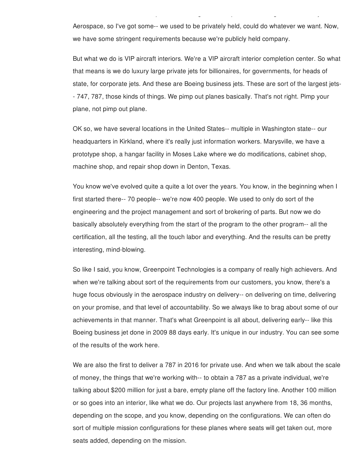Aerospace, so I've got some-- we used to be privately held, could do whatever we want. Now, we have some stringent requirements because we're publicly held company.

So like I said, I'm from Greenpoint Technologies. Greenpoint Technologies is owned by Zodiak

But what we do is VIP aircraft interiors. We're a VIP aircraft interior completion center. So what that means is we do luxury large private jets for billionaires, for governments, for heads of state, for corporate jets. And these are Boeing business jets. These are sort of the largest jets- - 747, 787, those kinds of things. We pimp out planes basically. That's not right. Pimp your plane, not pimp out plane.

OK so, we have several locations in the United States-- multiple in Washington state-- our headquarters in Kirkland, where it's really just information workers. Marysville, we have a prototype shop, a hangar facility in Moses Lake where we do modifications, cabinet shop, machine shop, and repair shop down in Denton, Texas.

You know we've evolved quite a quite a lot over the years. You know, in the beginning when I first started there-- 70 people-- we're now 400 people. We used to only do sort of the engineering and the project management and sort of brokering of parts. But now we do basically absolutely everything from the start of the program to the other program-- all the certification, all the testing, all the touch labor and everything. And the results can be pretty interesting, mind-blowing.

So like I said, you know, Greenpoint Technologies is a company of really high achievers. And when we're talking about sort of the requirements from our customers, you know, there's a huge focus obviously in the aerospace industry on delivery-- on delivering on time, delivering on your promise, and that level of accountability. So we always like to brag about some of our achievements in that manner. That's what Greenpoint is all about, delivering early-- like this Boeing business jet done in 2009 88 days early. It's unique in our industry. You can see some of the results of the work here.

We are also the first to deliver a 787 in 2016 for private use. And when we talk about the scale of money, the things that we're working with-- to obtain a 787 as a private individual, we're talking about \$200 million for just a bare, empty plane off the factory line. Another 100 million or so goes into an interior, like what we do. Our projects last anywhere from 18, 36 months, depending on the scope, and you know, depending on the configurations. We can often do sort of multiple mission configurations for these planes where seats will get taken out, more seats added, depending on the mission.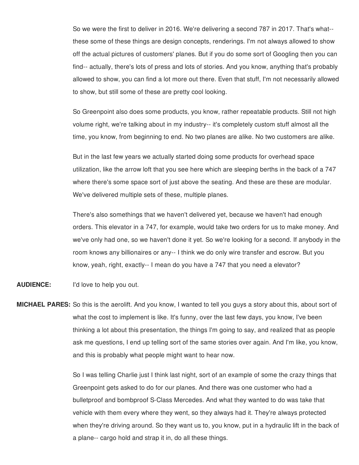So we were the first to deliver in 2016. We're delivering a second 787 in 2017. That's what- these some of these things are design concepts, renderings. I'm not always allowed to show off the actual pictures of customers' planes. But if you do some sort of Googling then you can find-- actually, there's lots of press and lots of stories. And you know, anything that's probably allowed to show, you can find a lot more out there. Even that stuff, I'm not necessarily allowed to show, but still some of these are pretty cool looking.

So Greenpoint also does some products, you know, rather repeatable products. Still not high volume right, we're talking about in my industry-- it's completely custom stuff almost all the time, you know, from beginning to end. No two planes are alike. No two customers are alike.

But in the last few years we actually started doing some products for overhead space utilization, like the arrow loft that you see here which are sleeping berths in the back of a 747 where there's some space sort of just above the seating. And these are these are modular. We've delivered multiple sets of these, multiple planes.

There's also somethings that we haven't delivered yet, because we haven't had enough orders. This elevator in a 747, for example, would take two orders for us to make money. And we've only had one, so we haven't done it yet. So we're looking for a second. If anybody in the room knows any billionaires or any-- I think we do only wire transfer and escrow. But you know, yeah, right, exactly-- I mean do you have a 747 that you need a elevator?

# **AUDIENCE:** I'd love to help you out.

**MICHAEL PARES:** So this is the aerolift. And you know, I wanted to tell you guys a story about this, about sort of what the cost to implement is like. It's funny, over the last few days, you know, I've been thinking a lot about this presentation, the things I'm going to say, and realized that as people ask me questions, I end up telling sort of the same stories over again. And I'm like, you know, and this is probably what people might want to hear now.

> So I was telling Charlie just I think last night, sort of an example of some the crazy things that Greenpoint gets asked to do for our planes. And there was one customer who had a bulletproof and bombproof S-Class Mercedes. And what they wanted to do was take that vehicle with them every where they went, so they always had it. They're always protected when they're driving around. So they want us to, you know, put in a hydraulic lift in the back of a plane-- cargo hold and strap it in, do all these things.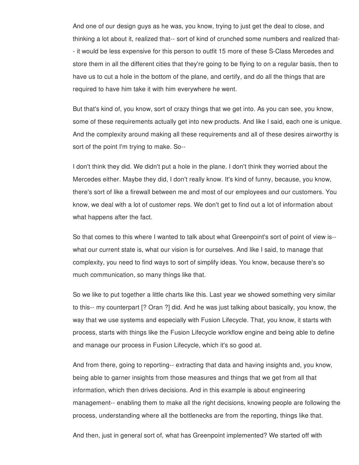And one of our design guys as he was, you know, trying to just get the deal to close, and thinking a lot about it, realized that-- sort of kind of crunched some numbers and realized that- - it would be less expensive for this person to outfit 15 more of these S-Class Mercedes and store them in all the different cities that they're going to be flying to on a regular basis, then to have us to cut a hole in the bottom of the plane, and certify, and do all the things that are required to have him take it with him everywhere he went.

But that's kind of, you know, sort of crazy things that we get into. As you can see, you know, some of these requirements actually get into new products. And like I said, each one is unique. And the complexity around making all these requirements and all of these desires airworthy is sort of the point I'm trying to make. So--

I don't think they did. We didn't put a hole in the plane. I don't think they worried about the Mercedes either. Maybe they did, I don't really know. It's kind of funny, because, you know, there's sort of like a firewall between me and most of our employees and our customers. You know, we deal with a lot of customer reps. We don't get to find out a lot of information about what happens after the fact.

So that comes to this where I wanted to talk about what Greenpoint's sort of point of view is- what our current state is, what our vision is for ourselves. And like I said, to manage that complexity, you need to find ways to sort of simplify ideas. You know, because there's so much communication, so many things like that.

So we like to put together a little charts like this. Last year we showed something very similar to this-- my counterpart [? Oran ?] did. And he was just talking about basically, you know, the way that we use systems and especially with Fusion Lifecycle. That, you know, it starts with process, starts with things like the Fusion Lifecycle workflow engine and being able to define and manage our process in Fusion Lifecycle, which it's so good at.

And from there, going to reporting-- extracting that data and having insights and, you know, being able to garner insights from those measures and things that we get from all that information, which then drives decisions. And in this example is about engineering management-- enabling them to make all the right decisions, knowing people are following the process, understanding where all the bottlenecks are from the reporting, things like that.

And then, just in general sort of, what has Greenpoint implemented? We started off with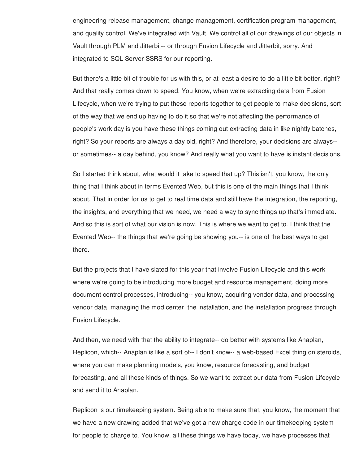engineering release management, change management, certification program management, and quality control. We've integrated with Vault. We control all of our drawings of our objects in Vault through PLM and Jitterbit-- or through Fusion Lifecycle and Jitterbit, sorry. And integrated to SQL Server SSRS for our reporting.

But there's a little bit of trouble for us with this, or at least a desire to do a little bit better, right? And that really comes down to speed. You know, when we're extracting data from Fusion Lifecycle, when we're trying to put these reports together to get people to make decisions, sort of the way that we end up having to do it so that we're not affecting the performance of people's work day is you have these things coming out extracting data in like nightly batches, right? So your reports are always a day old, right? And therefore, your decisions are always- or sometimes-- a day behind, you know? And really what you want to have is instant decisions.

So I started think about, what would it take to speed that up? This isn't, you know, the only thing that I think about in terms Evented Web, but this is one of the main things that I think about. That in order for us to get to real time data and still have the integration, the reporting, the insights, and everything that we need, we need a way to sync things up that's immediate. And so this is sort of what our vision is now. This is where we want to get to. I think that the Evented Web-- the things that we're going be showing you-- is one of the best ways to get there.

But the projects that I have slated for this year that involve Fusion Lifecycle and this work where we're going to be introducing more budget and resource management, doing more document control processes, introducing-- you know, acquiring vendor data, and processing vendor data, managing the mod center, the installation, and the installation progress through Fusion Lifecycle.

And then, we need with that the ability to integrate-- do better with systems like Anaplan, Replicon, which-- Anaplan is like a sort of-- I don't know-- a web-based Excel thing on steroids, where you can make planning models, you know, resource forecasting, and budget forecasting, and all these kinds of things. So we want to extract our data from Fusion Lifecycle and send it to Anaplan.

Replicon is our timekeeping system. Being able to make sure that, you know, the moment that we have a new drawing added that we've got a new charge code in our timekeeping system for people to charge to. You know, all these things we have today, we have processes that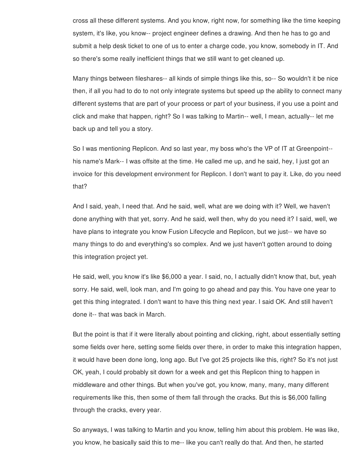cross all these different systems. And you know, right now, for something like the time keeping system, it's like, you know-- project engineer defines a drawing. And then he has to go and submit a help desk ticket to one of us to enter a charge code, you know, somebody in IT. And so there's some really inefficient things that we still want to get cleaned up.

Many things between fileshares-- all kinds of simple things like this, so-- So wouldn't it be nice then, if all you had to do to not only integrate systems but speed up the ability to connect many different systems that are part of your process or part of your business, if you use a point and click and make that happen, right? So I was talking to Martin-- well, I mean, actually-- let me back up and tell you a story.

So I was mentioning Replicon. And so last year, my boss who's the VP of IT at Greenpoint- his name's Mark-- I was offsite at the time. He called me up, and he said, hey, I just got an invoice for this development environment for Replicon. I don't want to pay it. Like, do you need that?

And I said, yeah, I need that. And he said, well, what are we doing with it? Well, we haven't done anything with that yet, sorry. And he said, well then, why do you need it? I said, well, we have plans to integrate you know Fusion Lifecycle and Replicon, but we just-- we have so many things to do and everything's so complex. And we just haven't gotten around to doing this integration project yet.

He said, well, you know it's like \$6,000 a year. I said, no, I actually didn't know that, but, yeah sorry. He said, well, look man, and I'm going to go ahead and pay this. You have one year to get this thing integrated. I don't want to have this thing next year. I said OK. And still haven't done it-- that was back in March.

But the point is that if it were literally about pointing and clicking, right, about essentially setting some fields over here, setting some fields over there, in order to make this integration happen, it would have been done long, long ago. But I've got 25 projects like this, right? So it's not just OK, yeah, I could probably sit down for a week and get this Replicon thing to happen in middleware and other things. But when you've got, you know, many, many, many different requirements like this, then some of them fall through the cracks. But this is \$6,000 falling through the cracks, every year.

So anyways, I was talking to Martin and you know, telling him about this problem. He was like, you know, he basically said this to me-- like you can't really do that. And then, he started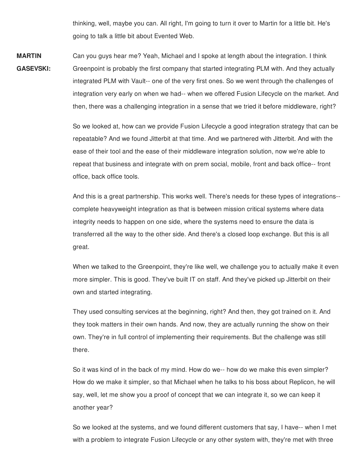thinking, well, maybe you can. All right, I'm going to turn it over to Martin for a little bit. He's going to talk a little bit about Evented Web.

**MARTIN GASEVSKI:** Can you guys hear me? Yeah, Michael and I spoke at length about the integration. I think Greenpoint is probably the first company that started integrating PLM with. And they actually integrated PLM with Vault-- one of the very first ones. So we went through the challenges of integration very early on when we had-- when we offered Fusion Lifecycle on the market. And then, there was a challenging integration in a sense that we tried it before middleware, right?

> So we looked at, how can we provide Fusion Lifecycle a good integration strategy that can be repeatable? And we found Jitterbit at that time. And we partnered with Jitterbit. And with the ease of their tool and the ease of their middleware integration solution, now we're able to repeat that business and integrate with on prem social, mobile, front and back office-- front office, back office tools.

> And this is a great partnership. This works well. There's needs for these types of integrations- complete heavyweight integration as that is between mission critical systems where data integrity needs to happen on one side, where the systems need to ensure the data is transferred all the way to the other side. And there's a closed loop exchange. But this is all great.

> When we talked to the Greenpoint, they're like well, we challenge you to actually make it even more simpler. This is good. They've built IT on staff. And they've picked up Jitterbit on their own and started integrating.

They used consulting services at the beginning, right? And then, they got trained on it. And they took matters in their own hands. And now, they are actually running the show on their own. They're in full control of implementing their requirements. But the challenge was still there.

So it was kind of in the back of my mind. How do we-- how do we make this even simpler? How do we make it simpler, so that Michael when he talks to his boss about Replicon, he will say, well, let me show you a proof of concept that we can integrate it, so we can keep it another year?

So we looked at the systems, and we found different customers that say, I have-- when I met with a problem to integrate Fusion Lifecycle or any other system with, they're met with three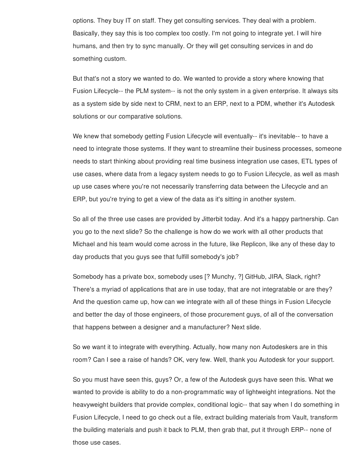options. They buy IT on staff. They get consulting services. They deal with a problem. Basically, they say this is too complex too costly. I'm not going to integrate yet. I will hire humans, and then try to sync manually. Or they will get consulting services in and do something custom.

But that's not a story we wanted to do. We wanted to provide a story where knowing that Fusion Lifecycle-- the PLM system-- is not the only system in a given enterprise. It always sits as a system side by side next to CRM, next to an ERP, next to a PDM, whether it's Autodesk solutions or our comparative solutions.

We knew that somebody getting Fusion Lifecycle will eventually-- it's inevitable-- to have a need to integrate those systems. If they want to streamline their business processes, someone needs to start thinking about providing real time business integration use cases, ETL types of use cases, where data from a legacy system needs to go to Fusion Lifecycle, as well as mash up use cases where you're not necessarily transferring data between the Lifecycle and an ERP, but you're trying to get a view of the data as it's sitting in another system.

So all of the three use cases are provided by Jitterbit today. And it's a happy partnership. Can you go to the next slide? So the challenge is how do we work with all other products that Michael and his team would come across in the future, like Replicon, like any of these day to day products that you guys see that fulfill somebody's job?

Somebody has a private box, somebody uses [? Munchy, ?] GitHub, JIRA, Slack, right? There's a myriad of applications that are in use today, that are not integratable or are they? And the question came up, how can we integrate with all of these things in Fusion Lifecycle and better the day of those engineers, of those procurement guys, of all of the conversation that happens between a designer and a manufacturer? Next slide.

So we want it to integrate with everything. Actually, how many non Autodeskers are in this room? Can I see a raise of hands? OK, very few. Well, thank you Autodesk for your support.

So you must have seen this, guys? Or, a few of the Autodesk guys have seen this. What we wanted to provide is ability to do a non-programmatic way of lightweight integrations. Not the heavyweight builders that provide complex, conditional logic-- that say when I do something in Fusion Lifecycle, I need to go check out a file, extract building materials from Vault, transform the building materials and push it back to PLM, then grab that, put it through ERP-- none of those use cases.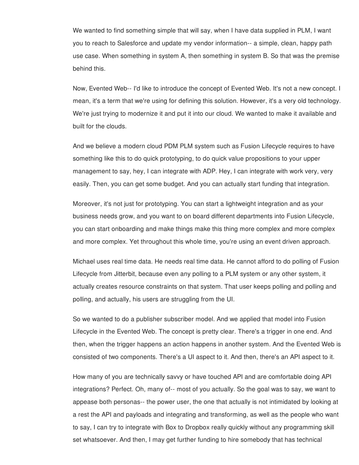We wanted to find something simple that will say, when I have data supplied in PLM, I want you to reach to Salesforce and update my vendor information-- a simple, clean, happy path use case. When something in system A, then something in system B. So that was the premise behind this.

Now, Evented Web-- I'd like to introduce the concept of Evented Web. It's not a new concept. I mean, it's a term that we're using for defining this solution. However, it's a very old technology. We're just trying to modernize it and put it into our cloud. We wanted to make it available and built for the clouds.

And we believe a modern cloud PDM PLM system such as Fusion Lifecycle requires to have something like this to do quick prototyping, to do quick value propositions to your upper management to say, hey, I can integrate with ADP. Hey, I can integrate with work very, very easily. Then, you can get some budget. And you can actually start funding that integration.

Moreover, it's not just for prototyping. You can start a lightweight integration and as your business needs grow, and you want to on board different departments into Fusion Lifecycle, you can start onboarding and make things make this thing more complex and more complex and more complex. Yet throughout this whole time, you're using an event driven approach.

Michael uses real time data. He needs real time data. He cannot afford to do polling of Fusion Lifecycle from Jitterbit, because even any polling to a PLM system or any other system, it actually creates resource constraints on that system. That user keeps polling and polling and polling, and actually, his users are struggling from the UI.

So we wanted to do a publisher subscriber model. And we applied that model into Fusion Lifecycle in the Evented Web. The concept is pretty clear. There's a trigger in one end. And then, when the trigger happens an action happens in another system. And the Evented Web is consisted of two components. There's a UI aspect to it. And then, there's an API aspect to it.

How many of you are technically savvy or have touched API and are comfortable doing API integrations? Perfect. Oh, many of-- most of you actually. So the goal was to say, we want to appease both personas-- the power user, the one that actually is not intimidated by looking at a rest the API and payloads and integrating and transforming, as well as the people who want to say, I can try to integrate with Box to Dropbox really quickly without any programming skill set whatsoever. And then, I may get further funding to hire somebody that has technical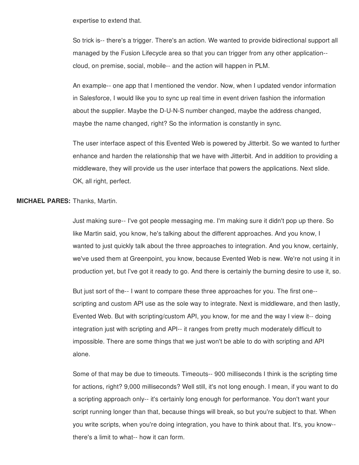expertise to extend that.

So trick is-- there's a trigger. There's an action. We wanted to provide bidirectional support all managed by the Fusion Lifecycle area so that you can trigger from any other application- cloud, on premise, social, mobile-- and the action will happen in PLM.

An example-- one app that I mentioned the vendor. Now, when I updated vendor information in Salesforce, I would like you to sync up real time in event driven fashion the information about the supplier. Maybe the D-U-N-S number changed, maybe the address changed, maybe the name changed, right? So the information is constantly in sync.

The user interface aspect of this Evented Web is powered by Jitterbit. So we wanted to further enhance and harden the relationship that we have with Jitterbit. And in addition to providing a middleware, they will provide us the user interface that powers the applications. Next slide. OK, all right, perfect.

# **MICHAEL PARES:** Thanks, Martin.

Just making sure-- I've got people messaging me. I'm making sure it didn't pop up there. So like Martin said, you know, he's talking about the different approaches. And you know, I wanted to just quickly talk about the three approaches to integration. And you know, certainly, we've used them at Greenpoint, you know, because Evented Web is new. We're not using it in production yet, but I've got it ready to go. And there is certainly the burning desire to use it, so.

But just sort of the-- I want to compare these three approaches for you. The first one- scripting and custom API use as the sole way to integrate. Next is middleware, and then lastly, Evented Web. But with scripting/custom API, you know, for me and the way I view it-- doing integration just with scripting and API-- it ranges from pretty much moderately difficult to impossible. There are some things that we just won't be able to do with scripting and API alone.

Some of that may be due to timeouts. Timeouts-- 900 milliseconds I think is the scripting time for actions, right? 9,000 milliseconds? Well still, it's not long enough. I mean, if you want to do a scripting approach only-- it's certainly long enough for performance. You don't want your script running longer than that, because things will break, so but you're subject to that. When you write scripts, when you're doing integration, you have to think about that. It's, you know- there's a limit to what-- how it can form.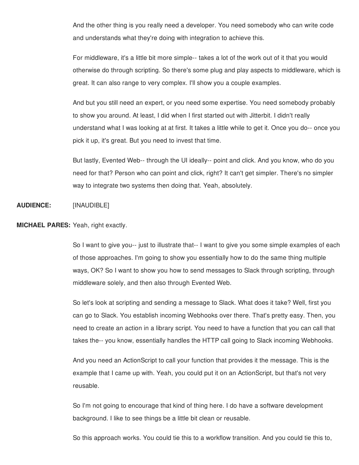And the other thing is you really need a developer. You need somebody who can write code and understands what they're doing with integration to achieve this.

For middleware, it's a little bit more simple-- takes a lot of the work out of it that you would otherwise do through scripting. So there's some plug and play aspects to middleware, which is great. It can also range to very complex. I'll show you a couple examples.

And but you still need an expert, or you need some expertise. You need somebody probably to show you around. At least, I did when I first started out with Jitterbit. I didn't really understand what I was looking at at first. It takes a little while to get it. Once you do-- once you pick it up, it's great. But you need to invest that time.

But lastly, Evented Web-- through the UI ideally-- point and click. And you know, who do you need for that? Person who can point and click, right? It can't get simpler. There's no simpler way to integrate two systems then doing that. Yeah, absolutely.

#### **AUDIENCE:** [INAUDIBLE]

## **MICHAEL PARES:** Yeah, right exactly.

So I want to give you-- just to illustrate that-- I want to give you some simple examples of each of those approaches. I'm going to show you essentially how to do the same thing multiple ways, OK? So I want to show you how to send messages to Slack through scripting, through middleware solely, and then also through Evented Web.

So let's look at scripting and sending a message to Slack. What does it take? Well, first you can go to Slack. You establish incoming Webhooks over there. That's pretty easy. Then, you need to create an action in a library script. You need to have a function that you can call that takes the-- you know, essentially handles the HTTP call going to Slack incoming Webhooks.

And you need an ActionScript to call your function that provides it the message. This is the example that I came up with. Yeah, you could put it on an ActionScript, but that's not very reusable.

So I'm not going to encourage that kind of thing here. I do have a software development background. I like to see things be a little bit clean or reusable.

So this approach works. You could tie this to a workflow transition. And you could tie this to,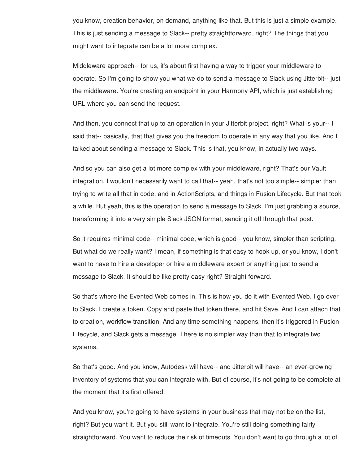you know, creation behavior, on demand, anything like that. But this is just a simple example. This is just sending a message to Slack-- pretty straightforward, right? The things that you might want to integrate can be a lot more complex.

Middleware approach-- for us, it's about first having a way to trigger your middleware to operate. So I'm going to show you what we do to send a message to Slack using Jitterbit-- just the middleware. You're creating an endpoint in your Harmony API, which is just establishing URL where you can send the request.

And then, you connect that up to an operation in your Jitterbit project, right? What is your-- I said that-- basically, that that gives you the freedom to operate in any way that you like. And I talked about sending a message to Slack. This is that, you know, in actually two ways.

And so you can also get a lot more complex with your middleware, right? That's our Vault integration. I wouldn't necessarily want to call that-- yeah, that's not too simple-- simpler than trying to write all that in code, and in ActionScripts, and things in Fusion Lifecycle. But that took a while. But yeah, this is the operation to send a message to Slack. I'm just grabbing a source, transforming it into a very simple Slack JSON format, sending it off through that post.

So it requires minimal code-- minimal code, which is good-- you know, simpler than scripting. But what do we really want? I mean, if something is that easy to hook up, or you know, I don't want to have to hire a developer or hire a middleware expert or anything just to send a message to Slack. It should be like pretty easy right? Straight forward.

So that's where the Evented Web comes in. This is how you do it with Evented Web. I go over to Slack. I create a token. Copy and paste that token there, and hit Save. And I can attach that to creation, workflow transition. And any time something happens, then it's triggered in Fusion Lifecycle, and Slack gets a message. There is no simpler way than that to integrate two systems.

So that's good. And you know, Autodesk will have-- and Jitterbit will have-- an ever-growing inventory of systems that you can integrate with. But of course, it's not going to be complete at the moment that it's first offered.

And you know, you're going to have systems in your business that may not be on the list, right? But you want it. But you still want to integrate. You're still doing something fairly straightforward. You want to reduce the risk of timeouts. You don't want to go through a lot of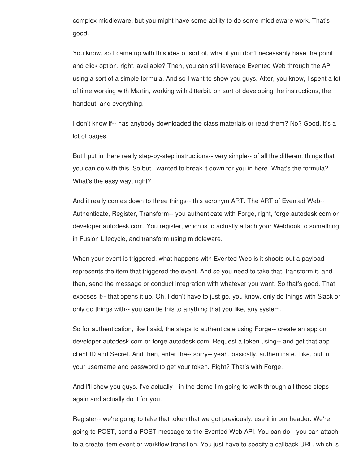complex middleware, but you might have some ability to do some middleware work. That's good.

You know, so I came up with this idea of sort of, what if you don't necessarily have the point and click option, right, available? Then, you can still leverage Evented Web through the API using a sort of a simple formula. And so I want to show you guys. After, you know, I spent a lot of time working with Martin, working with Jitterbit, on sort of developing the instructions, the handout, and everything.

I don't know if-- has anybody downloaded the class materials or read them? No? Good, it's a lot of pages.

But I put in there really step-by-step instructions-- very simple-- of all the different things that you can do with this. So but I wanted to break it down for you in here. What's the formula? What's the easy way, right?

And it really comes down to three things-- this acronym ART. The ART of Evented Web-- Authenticate, Register, Transform-- you authenticate with Forge, right, forge.autodesk.com or developer.autodesk.com. You register, which is to actually attach your Webhook to something in Fusion Lifecycle, and transform using middleware.

When your event is triggered, what happens with Evented Web is it shoots out a payload- represents the item that triggered the event. And so you need to take that, transform it, and then, send the message or conduct integration with whatever you want. So that's good. That exposes it-- that opens it up. Oh, I don't have to just go, you know, only do things with Slack or only do things with-- you can tie this to anything that you like, any system.

So for authentication, like I said, the steps to authenticate using Forge-- create an app on developer.autodesk.com or forge.autodesk.com. Request a token using-- and get that app client ID and Secret. And then, enter the-- sorry-- yeah, basically, authenticate. Like, put in your username and password to get your token. Right? That's with Forge.

And I'll show you guys. I've actually-- in the demo I'm going to walk through all these steps again and actually do it for you.

Register-- we're going to take that token that we got previously, use it in our header. We're going to POST, send a POST message to the Evented Web API. You can do-- you can attach to a create item event or workflow transition. You just have to specify a callback URL, which is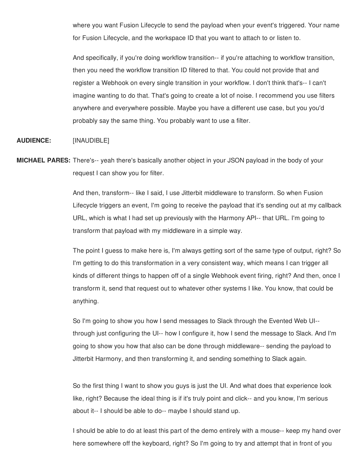where you want Fusion Lifecycle to send the payload when your event's triggered. Your name for Fusion Lifecycle, and the workspace ID that you want to attach to or listen to.

And specifically, if you're doing workflow transition-- if you're attaching to workflow transition, then you need the workflow transition ID filtered to that. You could not provide that and register a Webhook on every single transition in your workflow. I don't think that's-- I can't imagine wanting to do that. That's going to create a lot of noise. I recommend you use filters anywhere and everywhere possible. Maybe you have a different use case, but you you'd probably say the same thing. You probably want to use a filter.

# **AUDIENCE:** [INAUDIBLE]

**MICHAEL PARES:** There's-- yeah there's basically another object in your JSON payload in the body of your request I can show you for filter.

> And then, transform-- like I said, I use Jitterbit middleware to transform. So when Fusion Lifecycle triggers an event, I'm going to receive the payload that it's sending out at my callback URL, which is what I had set up previously with the Harmony API-- that URL. I'm going to transform that payload with my middleware in a simple way.

> The point I guess to make here is, I'm always getting sort of the same type of output, right? So I'm getting to do this transformation in a very consistent way, which means I can trigger all kinds of different things to happen off of a single Webhook event firing, right? And then, once I transform it, send that request out to whatever other systems I like. You know, that could be anything.

So I'm going to show you how I send messages to Slack through the Evented Web UI- through just configuring the UI-- how I configure it, how I send the message to Slack. And I'm going to show you how that also can be done through middleware-- sending the payload to Jitterbit Harmony, and then transforming it, and sending something to Slack again.

So the first thing I want to show you guys is just the UI. And what does that experience look like, right? Because the ideal thing is if it's truly point and click-- and you know, I'm serious about it-- I should be able to do-- maybe I should stand up.

I should be able to do at least this part of the demo entirely with a mouse-- keep my hand over here somewhere off the keyboard, right? So I'm going to try and attempt that in front of you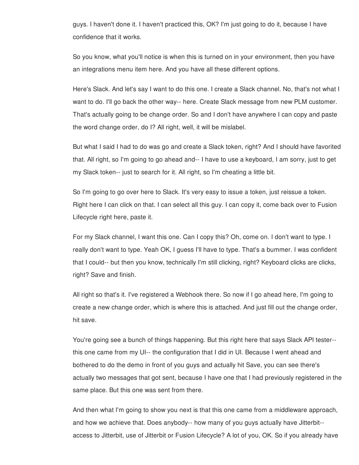guys. I haven't done it. I haven't practiced this, OK? I'm just going to do it, because I have confidence that it works.

So you know, what you'll notice is when this is turned on in your environment, then you have an integrations menu item here. And you have all these different options.

Here's Slack. And let's say I want to do this one. I create a Slack channel. No, that's not what I want to do. I'll go back the other way-- here. Create Slack message from new PLM customer. That's actually going to be change order. So and I don't have anywhere I can copy and paste the word change order, do I? All right, well, it will be mislabel.

But what I said I had to do was go and create a Slack token, right? And I should have favorited that. All right, so I'm going to go ahead and-- I have to use a keyboard, I am sorry, just to get my Slack token-- just to search for it. All right, so I'm cheating a little bit.

So I'm going to go over here to Slack. It's very easy to issue a token, just reissue a token. Right here I can click on that. I can select all this guy. I can copy it, come back over to Fusion Lifecycle right here, paste it.

For my Slack channel, I want this one. Can I copy this? Oh, come on. I don't want to type. I really don't want to type. Yeah OK, I guess I'll have to type. That's a bummer. I was confident that I could-- but then you know, technically I'm still clicking, right? Keyboard clicks are clicks, right? Save and finish.

All right so that's it. I've registered a Webhook there. So now if I go ahead here, I'm going to create a new change order, which is where this is attached. And just fill out the change order, hit save.

You're going see a bunch of things happening. But this right here that says Slack API tester- this one came from my UI-- the configuration that I did in UI. Because I went ahead and bothered to do the demo in front of you guys and actually hit Save, you can see there's actually two messages that got sent, because I have one that I had previously registered in the same place. But this one was sent from there.

And then what I'm going to show you next is that this one came from a middleware approach, and how we achieve that. Does anybody-- how many of you guys actually have Jitterbit- access to Jitterbit, use of Jitterbit or Fusion Lifecycle? A lot of you, OK. So if you already have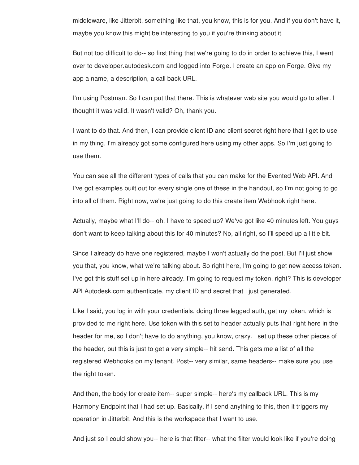middleware, like Jitterbit, something like that, you know, this is for you. And if you don't have it, maybe you know this might be interesting to you if you're thinking about it.

But not too difficult to do-- so first thing that we're going to do in order to achieve this, I went over to developer.autodesk.com and logged into Forge. I create an app on Forge. Give my app a name, a description, a call back URL.

I'm using Postman. So I can put that there. This is whatever web site you would go to after. I thought it was valid. It wasn't valid? Oh, thank you.

I want to do that. And then, I can provide client ID and client secret right here that I get to use in my thing. I'm already got some configured here using my other apps. So I'm just going to use them.

You can see all the different types of calls that you can make for the Evented Web API. And I've got examples built out for every single one of these in the handout, so I'm not going to go into all of them. Right now, we're just going to do this create item Webhook right here.

Actually, maybe what I'll do-- oh, I have to speed up? We've got like 40 minutes left. You guys don't want to keep talking about this for 40 minutes? No, all right, so I'll speed up a little bit.

Since I already do have one registered, maybe I won't actually do the post. But I'll just show you that, you know, what we're talking about. So right here, I'm going to get new access token. I've got this stuff set up in here already. I'm going to request my token, right? This is developer API Autodesk.com authenticate, my client ID and secret that I just generated.

Like I said, you log in with your credentials, doing three legged auth, get my token, which is provided to me right here. Use token with this set to header actually puts that right here in the header for me, so I don't have to do anything, you know, crazy. I set up these other pieces of the header, but this is just to get a very simple-- hit send. This gets me a list of all the registered Webhooks on my tenant. Post-- very similar, same headers-- make sure you use the right token.

And then, the body for create item-- super simple-- here's my callback URL. This is my Harmony Endpoint that I had set up. Basically, if I send anything to this, then it triggers my operation in Jitterbit. And this is the workspace that I want to use.

And just so I could show you-- here is that filter-- what the filter would look like if you're doing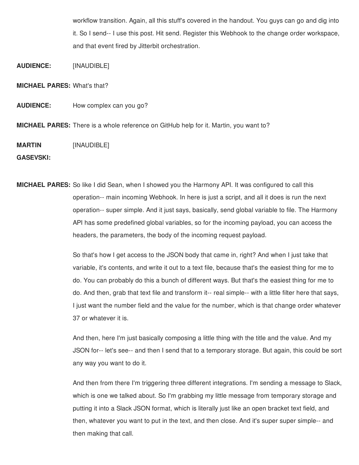workflow transition. Again, all this stuff's covered in the handout. You guys can go and dig into it. So I send-- I use this post. Hit send. Register this Webhook to the change order workspace, and that event fired by Jitterbit orchestration.

**AUDIENCE:** [INAUDIBLE]

**MICHAEL PARES:** What's that?

**AUDIENCE:** How complex can you go?

**MICHAEL PARES:** There is a whole reference on GitHub help for it. Martin, you want to?

**MARTIN** [INAUDIBLE]

**GASEVSKI:**

**MICHAEL PARES:** So like I did Sean, when I showed you the Harmony API. It was configured to call this operation-- main incoming Webhook. In here is just a script, and all it does is run the next operation-- super simple. And it just says, basically, send global variable to file. The Harmony API has some predefined global variables, so for the incoming payload, you can access the headers, the parameters, the body of the incoming request payload.

> So that's how I get access to the JSON body that came in, right? And when I just take that variable, it's contents, and write it out to a text file, because that's the easiest thing for me to do. You can probably do this a bunch of different ways. But that's the easiest thing for me to do. And then, grab that text file and transform it-- real simple-- with a little filter here that says, I just want the number field and the value for the number, which is that change order whatever 37 or whatever it is.

> And then, here I'm just basically composing a little thing with the title and the value. And my JSON for-- let's see-- and then I send that to a temporary storage. But again, this could be sort any way you want to do it.

> And then from there I'm triggering three different integrations. I'm sending a message to Slack, which is one we talked about. So I'm grabbing my little message from temporary storage and putting it into a Slack JSON format, which is literally just like an open bracket text field, and then, whatever you want to put in the text, and then close. And it's super super simple-- and then making that call.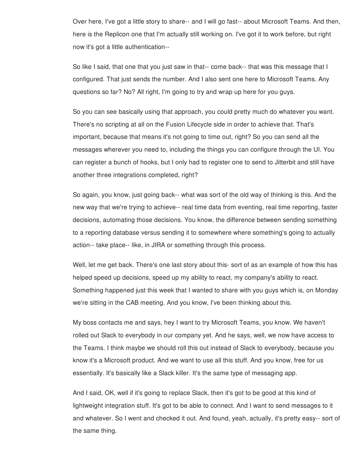Over here, I've got a little story to share-- and I will go fast-- about Microsoft Teams. And then, here is the Replicon one that I'm actually still working on. I've got it to work before, but right now it's got a little authentication--

So like I said, that one that you just saw in that-- come back-- that was this message that I configured. That just sends the number. And I also sent one here to Microsoft Teams. Any questions so far? No? All right, I'm going to try and wrap up here for you guys.

So you can see basically using that approach, you could pretty much do whatever you want. There's no scripting at all on the Fusion Lifecycle side in order to achieve that. That's important, because that means it's not going to time out, right? So you can send all the messages wherever you need to, including the things you can configure through the UI. You can register a bunch of hooks, but I only had to register one to send to Jitterbit and still have another three integrations completed, right?

So again, you know, just going back-- what was sort of the old way of thinking is this. And the new way that we're trying to achieve-- real time data from eventing, real time reporting, faster decisions, automating those decisions. You know, the difference between sending something to a reporting database versus sending it to somewhere where something's going to actually action-- take place-- like, in JIRA or something through this process.

Well, let me get back. There's one last story about this- sort of as an example of how this has helped speed up decisions, speed up my ability to react, my company's ability to react. Something happened just this week that I wanted to share with you guys which is, on Monday we're sitting in the CAB meeting. And you know, I've been thinking about this.

My boss contacts me and says, hey I want to try Microsoft Teams, you know. We haven't rolled out Slack to everybody in our company yet. And he says, well, we now have access to the Teams. I think maybe we should roll this out instead of Slack to everybody, because you know it's a Microsoft product. And we want to use all this stuff. And you know, free for us essentially. It's basically like a Slack killer. It's the same type of messaging app.

And I said, OK, well if it's going to replace Slack, then it's got to be good at this kind of lightweight integration stuff. It's got to be able to connect. And I want to send messages to it and whatever. So I went and checked it out. And found, yeah, actually, it's pretty easy-- sort of the same thing.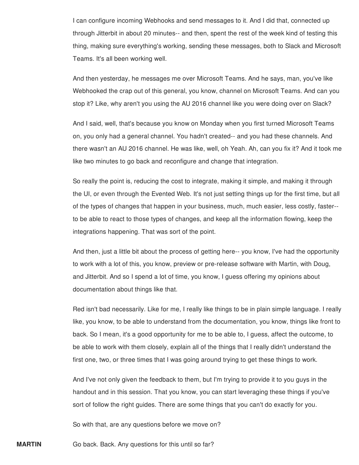I can configure incoming Webhooks and send messages to it. And I did that, connected up through Jitterbit in about 20 minutes-- and then, spent the rest of the week kind of testing this thing, making sure everything's working, sending these messages, both to Slack and Microsoft Teams. It's all been working well.

And then yesterday, he messages me over Microsoft Teams. And he says, man, you've like Webhooked the crap out of this general, you know, channel on Microsoft Teams. And can you stop it? Like, why aren't you using the AU 2016 channel like you were doing over on Slack?

And I said, well, that's because you know on Monday when you first turned Microsoft Teams on, you only had a general channel. You hadn't created-- and you had these channels. And there wasn't an AU 2016 channel. He was like, well, oh Yeah. Ah, can you fix it? And it took me like two minutes to go back and reconfigure and change that integration.

So really the point is, reducing the cost to integrate, making it simple, and making it through the UI, or even through the Evented Web. It's not just setting things up for the first time, but all of the types of changes that happen in your business, much, much easier, less costly, faster- to be able to react to those types of changes, and keep all the information flowing, keep the integrations happening. That was sort of the point.

And then, just a little bit about the process of getting here-- you know, I've had the opportunity to work with a lot of this, you know, preview or pre-release software with Martin, with Doug, and Jitterbit. And so I spend a lot of time, you know, I guess offering my opinions about documentation about things like that.

Red isn't bad necessarily. Like for me, I really like things to be in plain simple language. I really like, you know, to be able to understand from the documentation, you know, things like front to back. So I mean, it's a good opportunity for me to be able to, I guess, affect the outcome, to be able to work with them closely, explain all of the things that I really didn't understand the first one, two, or three times that I was going around trying to get these things to work.

And I've not only given the feedback to them, but I'm trying to provide it to you guys in the handout and in this session. That you know, you can start leveraging these things if you've sort of follow the right guides. There are some things that you can't do exactly for you.

So with that, are any questions before we move on?

**MARTIN** Go back. Back. Any questions for this until so far?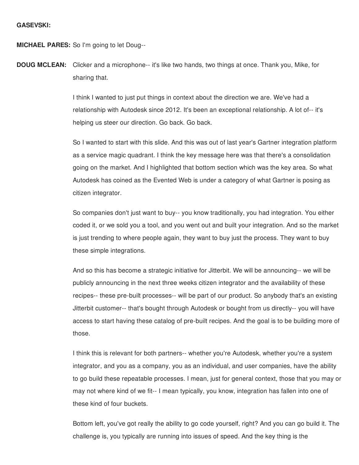**MICHAEL PARES:** So I'm going to let Doug--

**DOUG MCLEAN:** Clicker and a microphone-- it's like two hands, two things at once. Thank you, Mike, for sharing that.

> I think I wanted to just put things in context about the direction we are. We've had a relationship with Autodesk since 2012. It's been an exceptional relationship. A lot of-- it's helping us steer our direction. Go back. Go back.

So I wanted to start with this slide. And this was out of last year's Gartner integration platform as a service magic quadrant. I think the key message here was that there's a consolidation going on the market. And I highlighted that bottom section which was the key area. So what Autodesk has coined as the Evented Web is under a category of what Gartner is posing as citizen integrator.

So companies don't just want to buy-- you know traditionally, you had integration. You either coded it, or we sold you a tool, and you went out and built your integration. And so the market is just trending to where people again, they want to buy just the process. They want to buy these simple integrations.

And so this has become a strategic initiative for Jitterbit. We will be announcing-- we will be publicly announcing in the next three weeks citizen integrator and the availability of these recipes-- these pre-built processes-- will be part of our product. So anybody that's an existing Jitterbit customer-- that's bought through Autodesk or bought from us directly-- you will have access to start having these catalog of pre-built recipes. And the goal is to be building more of those.

I think this is relevant for both partners-- whether you're Autodesk, whether you're a system integrator, and you as a company, you as an individual, and user companies, have the ability to go build these repeatable processes. I mean, just for general context, those that you may or may not where kind of we fit-- I mean typically, you know, integration has fallen into one of these kind of four buckets.

Bottom left, you've got really the ability to go code yourself, right? And you can go build it. The challenge is, you typically are running into issues of speed. And the key thing is the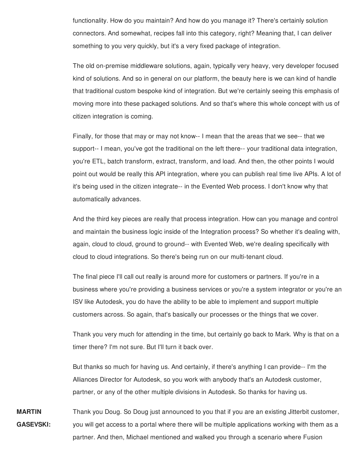functionality. How do you maintain? And how do you manage it? There's certainly solution connectors. And somewhat, recipes fall into this category, right? Meaning that, I can deliver something to you very quickly, but it's a very fixed package of integration.

The old on-premise middleware solutions, again, typically very heavy, very developer focused kind of solutions. And so in general on our platform, the beauty here is we can kind of handle that traditional custom bespoke kind of integration. But we're certainly seeing this emphasis of moving more into these packaged solutions. And so that's where this whole concept with us of citizen integration is coming.

Finally, for those that may or may not know-- I mean that the areas that we see-- that we support-- I mean, you've got the traditional on the left there-- your traditional data integration, you're ETL, batch transform, extract, transform, and load. And then, the other points I would point out would be really this API integration, where you can publish real time live APIs. A lot of it's being used in the citizen integrate-- in the Evented Web process. I don't know why that automatically advances.

And the third key pieces are really that process integration. How can you manage and control and maintain the business logic inside of the Integration process? So whether it's dealing with, again, cloud to cloud, ground to ground-- with Evented Web, we're dealing specifically with cloud to cloud integrations. So there's being run on our multi-tenant cloud.

The final piece I'll call out really is around more for customers or partners. If you're in a business where you're providing a business services or you're a system integrator or you're an ISV like Autodesk, you do have the ability to be able to implement and support multiple customers across. So again, that's basically our processes or the things that we cover.

Thank you very much for attending in the time, but certainly go back to Mark. Why is that on a timer there? I'm not sure. But I'll turn it back over.

But thanks so much for having us. And certainly, if there's anything I can provide-- I'm the Alliances Director for Autodesk, so you work with anybody that's an Autodesk customer, partner, or any of the other multiple divisions in Autodesk. So thanks for having us.

**MARTIN GASEVSKI:** Thank you Doug. So Doug just announced to you that if you are an existing Jitterbit customer, you will get access to a portal where there will be multiple applications working with them as a partner. And then, Michael mentioned and walked you through a scenario where Fusion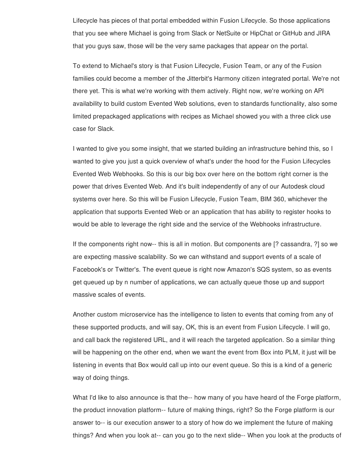Lifecycle has pieces of that portal embedded within Fusion Lifecycle. So those applications that you see where Michael is going from Slack or NetSuite or HipChat or GitHub and JIRA that you guys saw, those will be the very same packages that appear on the portal.

To extend to Michael's story is that Fusion Lifecycle, Fusion Team, or any of the Fusion families could become a member of the Jitterbit's Harmony citizen integrated portal. We're not there yet. This is what we're working with them actively. Right now, we're working on API availability to build custom Evented Web solutions, even to standards functionality, also some limited prepackaged applications with recipes as Michael showed you with a three click use case for Slack.

I wanted to give you some insight, that we started building an infrastructure behind this, so I wanted to give you just a quick overview of what's under the hood for the Fusion Lifecycles Evented Web Webhooks. So this is our big box over here on the bottom right corner is the power that drives Evented Web. And it's built independently of any of our Autodesk cloud systems over here. So this will be Fusion Lifecycle, Fusion Team, BIM 360, whichever the application that supports Evented Web or an application that has ability to register hooks to would be able to leverage the right side and the service of the Webhooks infrastructure.

If the components right now-- this is all in motion. But components are [? cassandra, ?] so we are expecting massive scalability. So we can withstand and support events of a scale of Facebook's or Twitter's. The event queue is right now Amazon's SQS system, so as events get queued up by n number of applications, we can actually queue those up and support massive scales of events.

Another custom microservice has the intelligence to listen to events that coming from any of these supported products, and will say, OK, this is an event from Fusion Lifecycle. I will go, and call back the registered URL, and it will reach the targeted application. So a similar thing will be happening on the other end, when we want the event from Box into PLM, it just will be listening in events that Box would call up into our event queue. So this is a kind of a generic way of doing things.

What I'd like to also announce is that the-- how many of you have heard of the Forge platform, the product innovation platform-- future of making things, right? So the Forge platform is our answer to-- is our execution answer to a story of how do we implement the future of making things? And when you look at-- can you go to the next slide-- When you look at the products of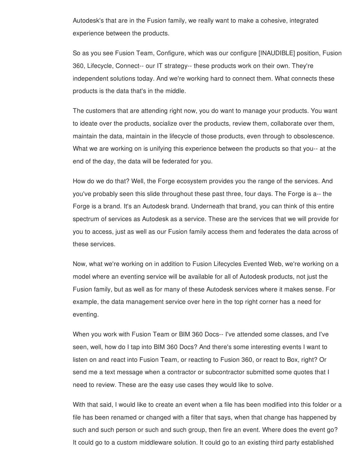Autodesk's that are in the Fusion family, we really want to make a cohesive, integrated experience between the products.

So as you see Fusion Team, Configure, which was our configure [INAUDIBLE] position, Fusion 360, Lifecycle, Connect-- our IT strategy-- these products work on their own. They're independent solutions today. And we're working hard to connect them. What connects these products is the data that's in the middle.

The customers that are attending right now, you do want to manage your products. You want to ideate over the products, socialize over the products, review them, collaborate over them, maintain the data, maintain in the lifecycle of those products, even through to obsolescence. What we are working on is unifying this experience between the products so that you-- at the end of the day, the data will be federated for you.

How do we do that? Well, the Forge ecosystem provides you the range of the services. And you've probably seen this slide throughout these past three, four days. The Forge is a-- the Forge is a brand. It's an Autodesk brand. Underneath that brand, you can think of this entire spectrum of services as Autodesk as a service. These are the services that we will provide for you to access, just as well as our Fusion family access them and federates the data across of these services.

Now, what we're working on in addition to Fusion Lifecycles Evented Web, we're working on a model where an eventing service will be available for all of Autodesk products, not just the Fusion family, but as well as for many of these Autodesk services where it makes sense. For example, the data management service over here in the top right corner has a need for eventing.

When you work with Fusion Team or BIM 360 Docs-- I've attended some classes, and I've seen, well, how do I tap into BIM 360 Docs? And there's some interesting events I want to listen on and react into Fusion Team, or reacting to Fusion 360, or react to Box, right? Or send me a text message when a contractor or subcontractor submitted some quotes that I need to review. These are the easy use cases they would like to solve.

With that said, I would like to create an event when a file has been modified into this folder or a file has been renamed or changed with a filter that says, when that change has happened by such and such person or such and such group, then fire an event. Where does the event go? It could go to a custom middleware solution. It could go to an existing third party established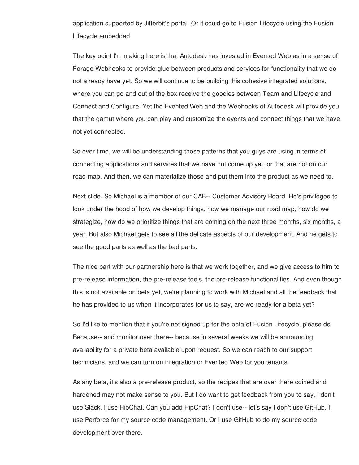application supported by Jitterbit's portal. Or it could go to Fusion Lifecycle using the Fusion Lifecycle embedded.

The key point I'm making here is that Autodesk has invested in Evented Web as in a sense of Forage Webhooks to provide glue between products and services for functionality that we do not already have yet. So we will continue to be building this cohesive integrated solutions, where you can go and out of the box receive the goodies between Team and Lifecycle and Connect and Configure. Yet the Evented Web and the Webhooks of Autodesk will provide you that the gamut where you can play and customize the events and connect things that we have not yet connected.

So over time, we will be understanding those patterns that you guys are using in terms of connecting applications and services that we have not come up yet, or that are not on our road map. And then, we can materialize those and put them into the product as we need to.

Next slide. So Michael is a member of our CAB-- Customer Advisory Board. He's privileged to look under the hood of how we develop things, how we manage our road map, how do we strategize, how do we prioritize things that are coming on the next three months, six months, a year. But also Michael gets to see all the delicate aspects of our development. And he gets to see the good parts as well as the bad parts.

The nice part with our partnership here is that we work together, and we give access to him to pre-release information, the pre-release tools, the pre-release functionalities. And even though this is not available on beta yet, we're planning to work with Michael and all the feedback that he has provided to us when it incorporates for us to say, are we ready for a beta yet?

So I'd like to mention that if you're not signed up for the beta of Fusion Lifecycle, please do. Because-- and monitor over there-- because in several weeks we will be announcing availability for a private beta available upon request. So we can reach to our support technicians, and we can turn on integration or Evented Web for you tenants.

As any beta, it's also a pre-release product, so the recipes that are over there coined and hardened may not make sense to you. But I do want to get feedback from you to say, I don't use Slack. I use HipChat. Can you add HipChat? I don't use-- let's say I don't use GitHub. I use Perforce for my source code management. Or I use GitHub to do my source code development over there.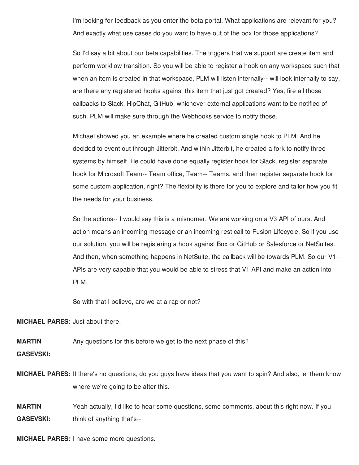I'm looking for feedback as you enter the beta portal. What applications are relevant for you? And exactly what use cases do you want to have out of the box for those applications?

So I'd say a bit about our beta capabilities. The triggers that we support are create item and perform workflow transition. So you will be able to register a hook on any workspace such that when an item is created in that workspace, PLM will listen internally-- will look internally to say, are there any registered hooks against this item that just got created? Yes, fire all those callbacks to Slack, HipChat, GitHub, whichever external applications want to be notified of such. PLM will make sure through the Webhooks service to notify those.

Michael showed you an example where he created custom single hook to PLM. And he decided to event out through Jitterbit. And within Jitterbit, he created a fork to notify three systems by himself. He could have done equally register hook for Slack, register separate hook for Microsoft Team-- Team office, Team-- Teams, and then register separate hook for some custom application, right? The flexibility is there for you to explore and tailor how you fit the needs for your business.

So the actions-- I would say this is a misnomer. We are working on a V3 API of ours. And action means an incoming message or an incoming rest call to Fusion Lifecycle. So if you use our solution, you will be registering a hook against Box or GitHub or Salesforce or NetSuites. And then, when something happens in NetSuite, the callback will be towards PLM. So our V1-- APIs are very capable that you would be able to stress that V1 API and make an action into PLM.

So with that I believe, are we at a rap or not?

**MICHAEL PARES:** Just about there.

**MARTIN** Any questions for this before we get to the next phase of this?

**GASEVSKI:**

**MICHAEL PARES:** If there's no questions, do you guys have ideas that you want to spin? And also, let them know where we're going to be after this.

**MARTIN GASEVSKI:** Yeah actually, I'd like to hear some questions, some comments, about this right now. If you think of anything that's--

**MICHAEL PARES:** I have some more questions.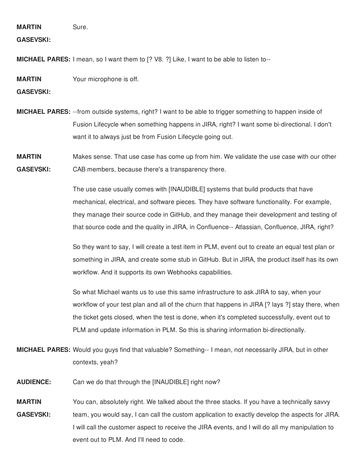**MARTIN** Sure.

**GASEVSKI:**

**MICHAEL PARES:** I mean, so I want them to [? V8. ?] Like, I want to be able to listen to--

**MARTIN** Your microphone is off.

**GASEVSKI:**

- **MICHAEL PARES:** --from outside systems, right? I want to be able to trigger something to happen inside of Fusion Lifecycle when something happens in JIRA, right? I want some bi-directional. I don't want it to always just be from Fusion Lifecycle going out.
- **MARTIN GASEVSKI:** Makes sense. That use case has come up from him. We validate the use case with our other CAB members, because there's a transparency there.

The use case usually comes with [INAUDIBLE] systems that build products that have mechanical, electrical, and software pieces. They have software functionality. For example, they manage their source code in GitHub, and they manage their development and testing of that source code and the quality in JIRA, in Confluence-- Atlassian, Confluence, JIRA, right?

So they want to say, I will create a test item in PLM, event out to create an equal test plan or something in JIRA, and create some stub in GitHub. But in JIRA, the product itself has its own workflow. And it supports its own Webhooks capabilities.

So what Michael wants us to use this same infrastructure to ask JIRA to say, when your workflow of your test plan and all of the churn that happens in JIRA [? lays ?] stay there, when the ticket gets closed, when the test is done, when it's completed successfully, event out to PLM and update information in PLM. So this is sharing information bi-directionally.

- **MICHAEL PARES:** Would you guys find that valuable? Something-- I mean, not necessarily JIRA, but in other contexts, yeah?
- **AUDIENCE:** Can we do that through the [INAUDIBLE] right now?
- **MARTIN GASEVSKI:** You can, absolutely right. We talked about the three stacks. If you have a technically savvy team, you would say, I can call the custom application to exactly develop the aspects for JIRA. I will call the customer aspect to receive the JIRA events, and I will do all my manipulation to event out to PLM. And I'll need to code.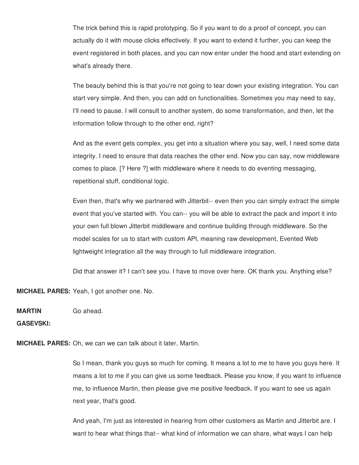The trick behind this is rapid prototyping. So if you want to do a proof of concept, you can actually do it with mouse clicks effectively. If you want to extend it further, you can keep the event registered in both places, and you can now enter under the hood and start extending on what's already there.

The beauty behind this is that you're not going to tear down your existing integration. You can start very simple. And then, you can add on functionalities. Sometimes you may need to say, I'll need to pause. I will consult to another system, do some transformation, and then, let the information follow through to the other end, right?

And as the event gets complex, you get into a situation where you say, well, I need some data integrity. I need to ensure that data reaches the other end. Now you can say, now middleware comes to place. [? Here ?] with middleware where it needs to do eventing messaging, repetitional stuff, conditional logic.

Even then, that's why we partnered with Jitterbit-- even then you can simply extract the simple event that you've started with. You can-- you will be able to extract the pack and import it into your own full blown Jitterbit middleware and continue building through middleware. So the model scales for us to start with custom API, meaning raw development, Evented Web lightweight integration all the way through to full middleware integration.

Did that answer it? I can't see you. I have to move over here. OK thank you. Anything else?

**MICHAEL PARES:** Yeah, I got another one. No.

**MARTIN** Go ahead.

**GASEVSKI:**

**MICHAEL PARES:** Oh, we can we can talk about it later, Martin.

So I mean, thank you guys so much for coming. It means a lot to me to have you guys here. It means a lot to me if you can give us some feedback. Please you know, if you want to influence me, to influence Martin, then please give me positive feedback. If you want to see us again next year, that's good.

And yeah, I'm just as interested in hearing from other customers as Martin and Jitterbit are. I want to hear what things that-- what kind of information we can share, what ways I can help